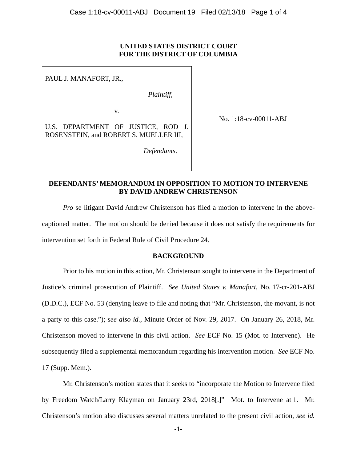### **UNITED STATES DISTRICT COURT FOR THE DISTRICT OF COLUMBIA**

PAUL J. MANAFORT, JR.,

*Plaintiff*,

 *Defendants*.

v.

U.S. DEPARTMENT OF JUSTICE, ROD J. ROSENSTEIN, and ROBERT S. MUELLER III,

No. 1:18-cv-00011-ABJ

## **DEFENDANTS' MEMORANDUM IN OPPOSITION TO MOTION TO INTERVENE BY DAVID ANDREW CHRISTENSON**

*Pro* se litigant David Andrew Christenson has filed a motion to intervene in the abovecaptioned matter. The motion should be denied because it does not satisfy the requirements for intervention set forth in Federal Rule of Civil Procedure 24.

#### **BACKGROUND**

Prior to his motion in this action, Mr. Christenson sought to intervene in the Department of Justice's criminal prosecution of Plaintiff. *See United States v. Manafort*, No. 17-cr-201-ABJ (D.D.C.), ECF No. 53 (denying leave to file and noting that "Mr. Christenson, the movant, is not a party to this case."); *see also id.*, Minute Order of Nov. 29, 2017. On January 26, 2018, Mr. Christenson moved to intervene in this civil action. *See* ECF No. 15 (Mot. to Intervene). He subsequently filed a supplemental memorandum regarding his intervention motion. *See* ECF No. 17 (Supp. Mem.).

Mr. Christenson's motion states that it seeks to "incorporate the Motion to Intervene filed by Freedom Watch/Larry Klayman on January 23rd, 2018[.]" Mot. to Intervene at 1. Mr. Christenson's motion also discusses several matters unrelated to the present civil action, *see id.*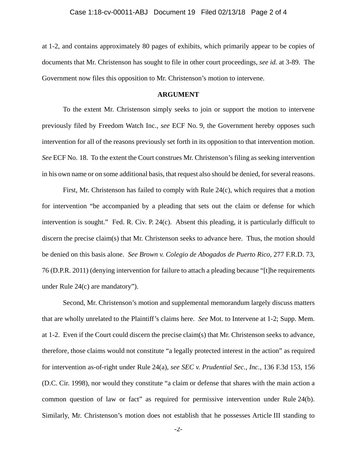at 1-2, and contains approximately 80 pages of exhibits, which primarily appear to be copies of documents that Mr. Christenson has sought to file in other court proceedings, *see id.* at 3-89. The Government now files this opposition to Mr. Christenson's motion to intervene.

#### **ARGUMENT**

To the extent Mr. Christenson simply seeks to join or support the motion to intervene previously filed by Freedom Watch Inc., *see* ECF No. 9, the Government hereby opposes such intervention for all of the reasons previously set forth in its opposition to that intervention motion. *See* ECF No. 18. To the extent the Court construes Mr. Christenson's filing as seeking intervention in his own name or on some additional basis, that request also should be denied, for several reasons.

First, Mr. Christenson has failed to comply with Rule 24(c), which requires that a motion for intervention "be accompanied by a pleading that sets out the claim or defense for which intervention is sought." Fed. R. Civ. P. 24(c). Absent this pleading, it is particularly difficult to discern the precise claim(s) that Mr. Christenson seeks to advance here. Thus, the motion should be denied on this basis alone. *See Brown v. Colegio de Abogados de Puerto Rico*, 277 F.R.D. 73, 76 (D.P.R. 2011) (denying intervention for failure to attach a pleading because "[t]he requirements under Rule 24(c) are mandatory").

Second, Mr. Christenson's motion and supplemental memorandum largely discuss matters that are wholly unrelated to the Plaintiff's claims here. *See* Mot. to Intervene at 1-2; Supp. Mem. at 1-2. Even if the Court could discern the precise claim(s) that Mr. Christenson seeks to advance, therefore, those claims would not constitute "a legally protected interest in the action" as required for intervention as-of-right under Rule 24(a), *see SEC v. Prudential Sec., Inc.*, 136 F.3d 153, 156 (D.C. Cir. 1998), nor would they constitute "a claim or defense that shares with the main action a common question of law or fact" as required for permissive intervention under Rule 24(b). Similarly, Mr. Christenson's motion does not establish that he possesses Article III standing to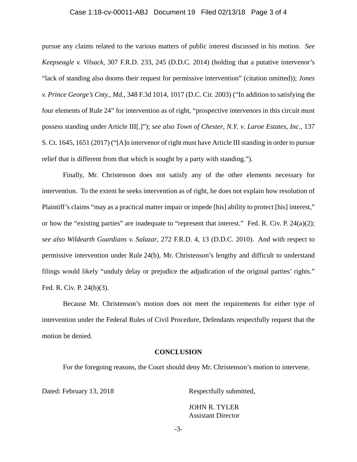#### Case 1:18-cv-00011-ABJ Document 19 Filed 02/13/18 Page 3 of 4

pursue any claims related to the various matters of public interest discussed in his motion. *See Keepseagle v. Vilsack*, 307 F.R.D. 233, 245 (D.D.C. 2014) (holding that a putative intervenor's "lack of standing also dooms their request for permissive intervention" (citation omitted)); *Jones v. Prince George's Cnty., Md.*, 348 F.3d 1014, 1017 (D.C. Cir. 2003) ("In addition to satisfying the four elements of Rule 24" for intervention as of right, "prospective intervenors in this circuit must possess standing under Article III[.]"); *see also Town of Chester, N.Y. v. Laroe Estates, Inc*., 137 S. Ct. 1645, 1651 (2017) ("[A]n intervenor of right must have Article III standing in order to pursue relief that is different from that which is sought by a party with standing.").

Finally, Mr. Christenson does not satisfy any of the other elements necessary for intervention. To the extent he seeks intervention as of right, he does not explain how resolution of Plaintiff's claims "may as a practical matter impair or impede [his] ability to protect [his] interest," or how the "existing parties" are inadequate to "represent that interest." Fed. R. Civ. P. 24(a)(2); *see also Wildearth Guardians v. Salazar*, 272 F.R.D. 4, 13 (D.D.C. 2010). And with respect to permissive intervention under Rule 24(b), Mr. Christenson's lengthy and difficult to understand filings would likely "unduly delay or prejudice the adjudication of the original parties' rights." Fed. R. Civ. P. 24(b)(3).

Because Mr. Christenson's motion does not meet the requirements for either type of intervention under the Federal Rules of Civil Procedure, Defendants respectfully request that the motion be denied.

#### **CONCLUSION**

For the foregoing reasons, the Court should deny Mr. Christenson's motion to intervene.

Dated: February 13, 2018 Respectfully submitted,

JOHN R. TYLER Assistant Director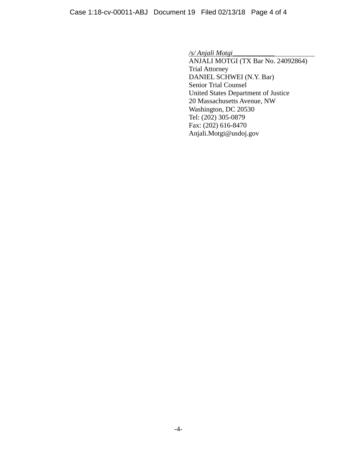*/s/ Anjali Motgi\_\_\_\_\_\_\_\_\_\_\_\_*

ANJALI MOTGI (TX Bar No. 24092864) Trial Attorney DANIEL SCHWEI (N.Y. Bar) Senior Trial Counsel United States Department of Justice 20 Massachusetts Avenue, NW Washington, DC 20530 Tel: (202) 305-0879 Fax: (202) 616-8470 Anjali.Motgi@usdoj.gov